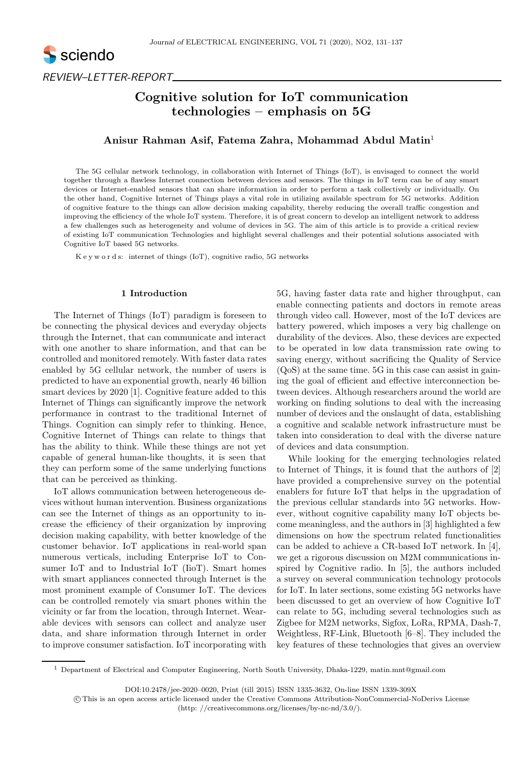

REVIEW–LETTER-REPORT

# Cognitive solution for IoT communication technologies – emphasis on 5G

# Anisur Rahman Asif, Fatema Zahra, Mohammad Abdul Matin<sup>1</sup>

The 5G cellular network technology, in collaboration with Internet of Things (IoT), is envisaged to connect the world together through a flawless Internet connection between devices and sensors. The things in IoT term can be of any smart devices or Internet-enabled sensors that can share information in order to perform a task collectively or individually. On the other hand, Cognitive Internet of Things plays a vital role in utilizing available spectrum for 5G networks. Addition of cognitive feature to the things can allow decision making capability, thereby reducing the overall traffic congestion and improving the efficiency of the whole IoT system. Therefore, it is of great concern to develop an intelligent network to address a few challenges such as heterogeneity and volume of devices in 5G. The aim of this article is to provide a critical review of existing IoT communication Technologies and highlight several challenges and their potential solutions associated with Cognitive IoT based 5G networks.

K e y w o r d s: internet of things (IoT), cognitive radio, 5G networks

# 1 Introduction

The Internet of Things (IoT) paradigm is foreseen to be connecting the physical devices and everyday objects through the Internet, that can communicate and interact with one another to share information, and that can be controlled and monitored remotely. With faster data rates enabled by 5G cellular network, the number of users is predicted to have an exponential growth, nearly 46 billion smart devices by 2020 [1]. Cognitive feature added to this Internet of Things can significantly improve the network performance in contrast to the traditional Internet of Things. Cognition can simply refer to thinking. Hence, Cognitive Internet of Things can relate to things that has the ability to think. While these things are not yet capable of general human-like thoughts, it is seen that they can perform some of the same underlying functions that can be perceived as thinking.

IoT allows communication between heterogeneous devices without human intervention. Business organizations can see the Internet of things as an opportunity to increase the efficiency of their organization by improving decision making capability, with better knowledge of the customer behavior. IoT applications in real-world span numerous verticals, including Enterprise IoT to Consumer IoT and to Industrial IoT (IioT). Smart homes with smart appliances connected through Internet is the most prominent example of Consumer IoT. The devices can be controlled remotely via smart phones within the vicinity or far from the location, through Internet. Wearable devices with sensors can collect and analyze user data, and share information through Internet in order to improve consumer satisfaction. IoT incorporating with

5G, having faster data rate and higher throughput, can enable connecting patients and doctors in remote areas through video call. However, most of the IoT devices are battery powered, which imposes a very big challenge on durability of the devices. Also, these devices are expected to be operated in low data transmission rate owing to saving energy, without sacrificing the Quality of Service (QoS) at the same time. 5G in this case can assist in gaining the goal of efficient and effective interconnection between devices. Although researchers around the world are working on finding solutions to deal with the increasing number of devices and the onslaught of data, establishing a cognitive and scalable network infrastructure must be taken into consideration to deal with the diverse nature of devices and data consumption.

While looking for the emerging technologies related to Internet of Things, it is found that the authors of [2] have provided a comprehensive survey on the potential enablers for future IoT that helps in the upgradation of the previous cellular standards into 5G networks. However, without cognitive capability many IoT objects become meaningless, and the authors in [3] highlighted a few dimensions on how the spectrum related functionalities can be added to achieve a CR-based IoT network. In [4], we get a rigorous discussion on M2M communications inspired by Cognitive radio. In [5], the authors included a survey on several communication technology protocols for IoT. In later sections, some existing 5G networks have been discussed to get an overview of how Cognitive IoT can relate to 5G, including several technologies such as Zigbee for M2M networks, Sigfox, LoRa, RPMA, Dash-7, Weightless, RF-Link, Bluetooth [6–8]. They included the key features of these technologies that gives an overview

<sup>1</sup> Department of Electrical and Computer Engineering, North South University, Dhaka-1229, matin.mnt@gmail.com

DOI:10.2478/jee-2020–0020, Print (till 2015) ISSN 1335-3632, On-line ISSN 1339-309X

(http: //creativecommons.org/licenses/by-nc-nd/3.0/).

c This is an open access article licensed under the Creative Commons Attribution-NonCommercial-NoDerivs License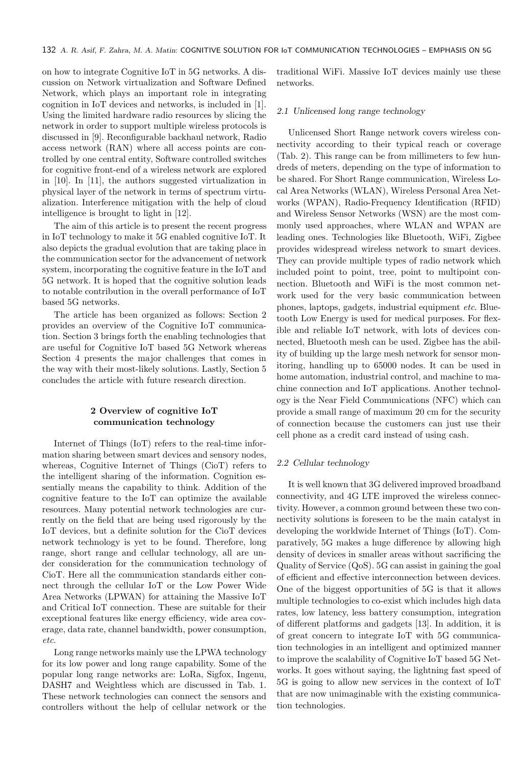on how to integrate Cognitive IoT in 5G networks. A discussion on Network virtualization and Software Defined Network, which plays an important role in integrating cognition in IoT devices and networks, is included in [1]. Using the limited hardware radio resources by slicing the network in order to support multiple wireless protocols is discussed in [9]. Reconfigurable backhaul network, Radio access network (RAN) where all access points are controlled by one central entity, Software controlled switches for cognitive front-end of a wireless network are explored in [10]. In [11], the authors suggested virtualization in physical layer of the network in terms of spectrum virtualization. Interference mitigation with the help of cloud intelligence is brought to light in [12].

The aim of this article is to present the recent progress in IoT technology to make it 5G enabled cognitive IoT. It also depicts the gradual evolution that are taking place in the communication sector for the advancement of network system, incorporating the cognitive feature in the IoT and 5G network. It is hoped that the cognitive solution leads to notable contribution in the overall performance of IoT based 5G networks.

The article has been organized as follows: Section 2 provides an overview of the Cognitive IoT communication. Section 3 brings forth the enabling technologies that are useful for Cognitive IoT based 5G Network whereas Section 4 presents the major challenges that comes in the way with their most-likely solutions. Lastly, Section 5 concludes the article with future research direction.

# 2 Overview of cognitive IoT communication technology

Internet of Things (IoT) refers to the real-time information sharing between smart devices and sensory nodes, whereas, Cognitive Internet of Things (CioT) refers to the intelligent sharing of the information. Cognition essentially means the capability to think. Addition of the cognitive feature to the IoT can optimize the available resources. Many potential network technologies are currently on the field that are being used rigorously by the IoT devices, but a definite solution for the CioT devices network technology is yet to be found. Therefore, long range, short range and cellular technology, all are under consideration for the communication technology of CioT. Here all the communication standards either connect through the cellular IoT or the Low Power Wide Area Networks (LPWAN) for attaining the Massive IoT and Critical IoT connection. These are suitable for their exceptional features like energy efficiency, wide area coverage, data rate, channel bandwidth, power consumption, etc.

Long range networks mainly use the LPWA technology for its low power and long range capability. Some of the popular long range networks are: LoRa, Sigfox, Ingenu, DASH7 and Weightless which are discussed in Tab. 1. These network technologies can connect the sensors and controllers without the help of cellular network or the

traditional WiFi. Massive IoT devices mainly use these networks.

## 2.1 Unlicensed long range technology

Unlicensed Short Range network covers wireless connectivity according to their typical reach or coverage (Tab. 2). This range can be from millimeters to few hundreds of meters, depending on the type of information to be shared. For Short Range communication, Wireless Local Area Networks (WLAN), Wireless Personal Area Networks (WPAN), Radio-Frequency Identification (RFID) and Wireless Sensor Networks (WSN) are the most commonly used approaches, where WLAN and WPAN are leading ones. Technologies like Bluetooth, WiFi, Zigbee provides widespread wireless network to smart devices. They can provide multiple types of radio network which included point to point, tree, point to multipoint connection. Bluetooth and WiFi is the most common network used for the very basic communication between phones, laptops, gadgets, industrial equipment etc. Bluetooth Low Energy is used for medical purposes. For flexible and reliable IoT network, with lots of devices connected, Bluetooth mesh can be used. Zigbee has the ability of building up the large mesh network for sensor monitoring, handling up to 65000 nodes. It can be used in home automation, industrial control, and machine to machine connection and IoT applications. Another technology is the Near Field Communications (NFC) which can provide a small range of maximum 20 cm for the security of connection because the customers can just use their cell phone as a credit card instead of using cash.

# 2.2 Cellular technology

It is well known that 3G delivered improved broadband connectivity, and 4G LTE improved the wireless connectivity. However, a common ground between these two connectivity solutions is foreseen to be the main catalyst in developing the worldwide Internet of Things (IoT). Comparatively, 5G makes a huge difference by allowing high density of devices in smaller areas without sacrificing the Quality of Service (QoS). 5G can assist in gaining the goal of efficient and effective interconnection between devices. One of the biggest opportunities of 5G is that it allows multiple technologies to co-exist which includes high data rates, low latency, less battery consumption, integration of different platforms and gadgets [13]. In addition, it is of great concern to integrate IoT with 5G communication technologies in an intelligent and optimized manner to improve the scalability of Cognitive IoT based 5G Networks. It goes without saying, the lightning fast speed of 5G is going to allow new services in the context of IoT that are now unimaginable with the existing communication technologies.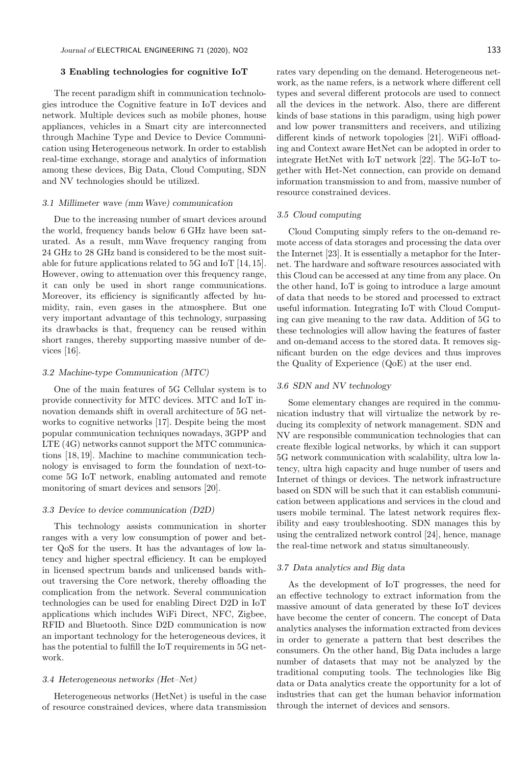## 3 Enabling technologies for cognitive IoT

The recent paradigm shift in communication technologies introduce the Cognitive feature in IoT devices and network. Multiple devices such as mobile phones, house appliances, vehicles in a Smart city are interconnected through Machine Type and Device to Device Communication using Heterogeneous network. In order to establish real-time exchange, storage and analytics of information among these devices, Big Data, Cloud Computing, SDN and NV technologies should be utilized.

#### 3.1 Millimeter wave (mmWave) communication

Due to the increasing number of smart devices around the world, frequency bands below 6 GHz have been saturated. As a result, mmWave frequency ranging from 24 GHz to 28 GHz band is considered to be the most suitable for future applications related to 5G and IoT [14, 15]. However, owing to attenuation over this frequency range, it can only be used in short range communications. Moreover, its efficiency is significantly affected by humidity, rain, even gases in the atmosphere. But one very important advantage of this technology, surpassing its drawbacks is that, frequency can be reused within short ranges, thereby supporting massive number of devices [16].

# 3.2 Machine-type Communication (MTC)

One of the main features of 5G Cellular system is to provide connectivity for MTC devices. MTC and IoT innovation demands shift in overall architecture of 5G networks to cognitive networks [17]. Despite being the most popular communication techniques nowadays, 3GPP and LTE (4G) networks cannot support the MTC communications [18, 19]. Machine to machine communication technology is envisaged to form the foundation of next-tocome 5G IoT network, enabling automated and remote monitoring of smart devices and sensors [20].

#### 3.3 Device to device communication (D2D)

This technology assists communication in shorter ranges with a very low consumption of power and better QoS for the users. It has the advantages of low latency and higher spectral efficiency. It can be employed in licensed spectrum bands and unlicensed bands without traversing the Core network, thereby offloading the complication from the network. Several communication technologies can be used for enabling Direct D2D in IoT applications which includes WiFi Direct, NFC, Zigbee, RFID and Bluetooth. Since D2D communication is now an important technology for the heterogeneous devices, it has the potential to fulfill the IoT requirements in 5G network.

#### 3.4 Heterogeneous networks (Het–Net)

Heterogeneous networks (HetNet) is useful in the case of resource constrained devices, where data transmission rates vary depending on the demand. Heterogeneous network, as the name refers, is a network where different cell types and several different protocols are used to connect all the devices in the network. Also, there are different kinds of base stations in this paradigm, using high power and low power transmitters and receivers, and utilizing different kinds of network topologies [21]. WiFi offloading and Context aware HetNet can be adopted in order to integrate HetNet with IoT network [22]. The 5G-IoT together with Het-Net connection, can provide on demand information transmission to and from, massive number of resource constrained devices.

### 3.5 Cloud computing

Cloud Computing simply refers to the on-demand remote access of data storages and processing the data over the Internet [23]. It is essentially a metaphor for the Internet. The hardware and software resources associated with this Cloud can be accessed at any time from any place. On the other hand, IoT is going to introduce a large amount of data that needs to be stored and processed to extract useful information. Integrating IoT with Cloud Computing can give meaning to the raw data. Addition of 5G to these technologies will allow having the features of faster and on-demand access to the stored data. It removes significant burden on the edge devices and thus improves the Quality of Experience (QoE) at the user end.

## 3.6 SDN and NV technology

Some elementary changes are required in the communication industry that will virtualize the network by reducing its complexity of network management. SDN and NV are responsible communication technologies that can create flexible logical networks, by which it can support 5G network communication with scalability, ultra low latency, ultra high capacity and huge number of users and Internet of things or devices. The network infrastructure based on SDN will be such that it can establish communication between applications and services in the cloud and users mobile terminal. The latest network requires flexibility and easy troubleshooting. SDN manages this by using the centralized network control [24], hence, manage the real-time network and status simultaneously.

## 3.7 Data analytics and Big data

As the development of IoT progresses, the need for an effective technology to extract information from the massive amount of data generated by these IoT devices have become the center of concern. The concept of Data analytics analyses the information extracted from devices in order to generate a pattern that best describes the consumers. On the other hand, Big Data includes a large number of datasets that may not be analyzed by the traditional computing tools. The technologies like Big data or Data analytics create the opportunity for a lot of industries that can get the human behavior information through the internet of devices and sensors.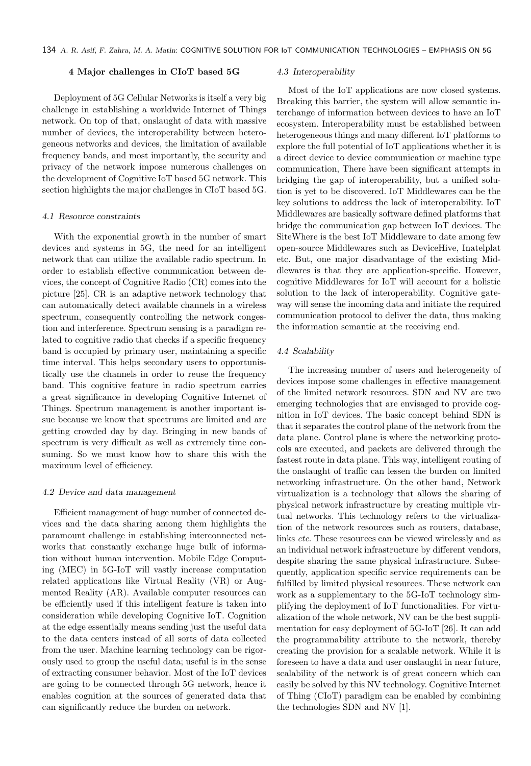## 4 Major challenges in CIoT based 5G

Deployment of 5G Cellular Networks is itself a very big challenge in establishing a worldwide Internet of Things network. On top of that, onslaught of data with massive number of devices, the interoperability between heterogeneous networks and devices, the limitation of available frequency bands, and most importantly, the security and privacy of the network impose numerous challenges on the development of Cognitive IoT based 5G network. This section highlights the major challenges in CIoT based 5G.

#### 4.1 Resource constraints

With the exponential growth in the number of smart devices and systems in 5G, the need for an intelligent network that can utilize the available radio spectrum. In order to establish effective communication between devices, the concept of Cognitive Radio (CR) comes into the picture [25]. CR is an adaptive network technology that can automatically detect available channels in a wireless spectrum, consequently controlling the network congestion and interference. Spectrum sensing is a paradigm related to cognitive radio that checks if a specific frequency band is occupied by primary user, maintaining a specific time interval. This helps secondary users to opportunistically use the channels in order to reuse the frequency band. This cognitive feature in radio spectrum carries a great significance in developing Cognitive Internet of Things. Spectrum management is another important issue because we know that spectrums are limited and are getting crowded day by day. Bringing in new bands of spectrum is very difficult as well as extremely time consuming. So we must know how to share this with the maximum level of efficiency.

## 4.2 Device and data management

Efficient management of huge number of connected devices and the data sharing among them highlights the paramount challenge in establishing interconnected networks that constantly exchange huge bulk of information without human intervention. Mobile Edge Computing (MEC) in 5G-IoT will vastly increase computation related applications like Virtual Reality (VR) or Augmented Reality (AR). Available computer resources can be efficiently used if this intelligent feature is taken into consideration while developing Cognitive IoT. Cognition at the edge essentially means sending just the useful data to the data centers instead of all sorts of data collected from the user. Machine learning technology can be rigorously used to group the useful data; useful is in the sense of extracting consumer behavior. Most of the IoT devices are going to be connected through 5G network, hence it enables cognition at the sources of generated data that can significantly reduce the burden on network.

#### 4.3 Interoperability

Most of the IoT applications are now closed systems. Breaking this barrier, the system will allow semantic interchange of information between devices to have an IoT ecosystem. Interoperability must be established between heterogeneous things and many different IoT platforms to explore the full potential of IoT applications whether it is a direct device to device communication or machine type communication, There have been significant attempts in bridging the gap of interoperability, but a unified solution is yet to be discovered. IoT Middlewares can be the key solutions to address the lack of interoperability. IoT Middlewares are basically software defined platforms that bridge the communication gap between IoT devices. The SiteWhere is the best IoT Middleware to date among few open-source Middlewares such as DeviceHive, Inatelplat etc. But, one major disadvantage of the existing Middlewares is that they are application-specific. However, cognitive Middlewares for IoT will account for a holistic solution to the lack of interoperability. Cognitive gateway will sense the incoming data and initiate the required communication protocol to deliver the data, thus making the information semantic at the receiving end.

#### 4.4 Scalability

The increasing number of users and heterogeneity of devices impose some challenges in effective management of the limited network resources. SDN and NV are two emerging technologies that are envisaged to provide cognition in IoT devices. The basic concept behind SDN is that it separates the control plane of the network from the data plane. Control plane is where the networking protocols are executed, and packets are delivered through the fastest route in data plane. This way, intelligent routing of the onslaught of traffic can lessen the burden on limited networking infrastructure. On the other hand, Network virtualization is a technology that allows the sharing of physical network infrastructure by creating multiple virtual networks. This technology refers to the virtualization of the network resources such as routers, database, links etc. These resources can be viewed wirelessly and as an individual network infrastructure by different vendors, despite sharing the same physical infrastructure. Subsequently, application specific service requirements can be fulfilled by limited physical resources. These network can work as a supplementary to the 5G-IoT technology simplifying the deployment of IoT functionalities. For virtualization of the whole network, NV can be the best supplimentation for easy deployment of 5G-IoT [26]. It can add the programmability attribute to the network, thereby creating the provision for a scalable network. While it is foreseen to have a data and user onslaught in near future, scalability of the network is of great concern which can easily be solved by this NV technology. Cognitive Internet of Thing (CIoT) paradigm can be enabled by combining the technologies SDN and NV [1].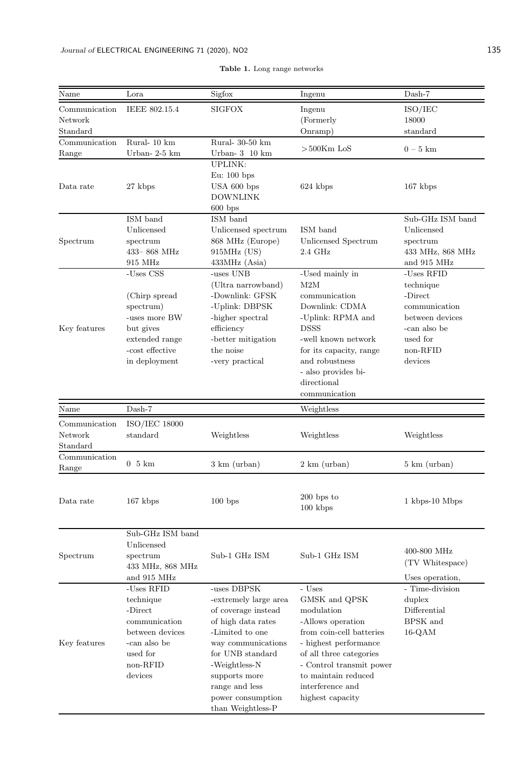| Name          | Lora                       | Sigfox                            | Ingenu                                          | Dash-7                           |  |
|---------------|----------------------------|-----------------------------------|-------------------------------------------------|----------------------------------|--|
| Communication | IEEE 802.15.4              | <b>SIGFOX</b>                     | Ingenu                                          | ISO/IEC                          |  |
| Network       |                            |                                   | (Formerly                                       | 18000                            |  |
| Standard      |                            |                                   | Onramp)                                         | standard                         |  |
| Communication | Rural-10 km                | Rural- 30-50 km                   |                                                 | $0-5$ km                         |  |
| Range         | Urban-2-5 km               | Urban- $3$ 10 km                  | $>500$ Km LoS                                   |                                  |  |
|               |                            | <b>UPLINK:</b>                    |                                                 |                                  |  |
|               |                            | Eu: $100$ bps                     |                                                 |                                  |  |
| Data rate     | 27 kbps                    | USA 600 bps<br>624 kbps           |                                                 | $167$ kbps                       |  |
|               |                            | <b>DOWNLINK</b>                   |                                                 |                                  |  |
|               | $600$ bps                  |                                   |                                                 |                                  |  |
|               | ISM band                   | ISM band                          |                                                 | Sub-GHz ISM band                 |  |
|               | Unlicensed                 | Unlicensed spectrum               | ISM band                                        | Unlicensed                       |  |
| Spectrum      | spectrum                   | 868 MHz (Europe)                  | Unlicensed Spectrum                             | spectrum                         |  |
|               | 433-868 MHz                | 915MHz (US)                       | $2.4\text{ GHz}$                                | 433 MHz, 868 MHz                 |  |
|               | 915 MHz                    | 433MHz (Asia)                     |                                                 | and 915 MHz                      |  |
|               | -Uses $\mathrm{CSS}$       | -uses UNB                         | -Used mainly in                                 | -Uses RFID                       |  |
| Key features  |                            | (Ultra narrowband)                | M2M                                             | technique                        |  |
|               | (Chirp spread)             | -Downlink: GFSK<br>-Uplink: DBPSK | communication<br>Downlink: CDMA                 | -Direct                          |  |
|               | spectrum)<br>-uses more BW | -higher spectral                  | -Uplink: RPMA and                               | communication<br>between devices |  |
|               | but gives                  | efficiency                        | <b>DSSS</b>                                     | -can also be                     |  |
|               | extended range             | -better mitigation                | -well known network                             | used for                         |  |
|               | -cost effective            | the noise                         | for its capacity, range                         | non-RFID                         |  |
|               | in deployment              | -very practical                   | and robustness                                  | devices                          |  |
|               |                            |                                   | - also provides bi-                             |                                  |  |
|               |                            |                                   | directional                                     |                                  |  |
|               |                            |                                   | communication                                   |                                  |  |
| Name          | Dash-7                     |                                   | Weightless                                      |                                  |  |
| Communication | $ISO/IEC$ 18000            |                                   |                                                 |                                  |  |
| Network       | standard                   | Weightless                        | Weightless                                      | Weightless                       |  |
| Standard      |                            |                                   |                                                 |                                  |  |
| Communication |                            |                                   |                                                 |                                  |  |
| Range         | $0\;5\;km$                 | $3 \text{ km}$ (urban)            | $2 \text{ km}$ (urban)                          | $5 \text{ km}$ (urban)           |  |
|               |                            |                                   |                                                 |                                  |  |
|               |                            |                                   | $200$ bps to                                    |                                  |  |
| Data rate     | $167$ kbps                 | 100 bps                           | $100$ kbps                                      | 1 kbps-10 Mbps                   |  |
|               |                            |                                   |                                                 |                                  |  |
|               | Sub-GHz ISM band           |                                   |                                                 |                                  |  |
|               | Unlicensed                 |                                   |                                                 | 400-800 MHz                      |  |
| Spectrum      | spectrum                   | Sub-1 GHz ISM                     | Sub-1 GHz ISM                                   |                                  |  |
|               | 433 MHz, 868 MHz           |                                   |                                                 | (TV Whitespace)                  |  |
|               | and 915 MHz                |                                   |                                                 | Uses operation,                  |  |
|               | -Uses RFID                 | -uses DBPSK                       | - Uses                                          | - Time-division                  |  |
|               | technique                  | -extremely large area             | GMSK and QPSK                                   | duplex                           |  |
|               | -Direct                    | of coverage instead               | modulation                                      | Differential                     |  |
|               | communication              | of high data rates                | -Allows operation                               | BPSK and                         |  |
|               | between devices            | -Limited to one                   | from coin-cell batteries                        | $16$ -QAM                        |  |
| Key features  | -can also be               | way communications                | - highest performance                           |                                  |  |
|               | used for                   | for UNB standard                  | of all three categories                         |                                  |  |
|               | non-RFID                   | -Weightless-N                     | - Control transmit power<br>to maintain reduced |                                  |  |
|               | devices                    | supports more<br>range and less   | interference and                                |                                  |  |
|               |                            | power consumption                 | highest capacity                                |                                  |  |
|               |                            | than Weightless-P                 |                                                 |                                  |  |

Table 1. Long range networks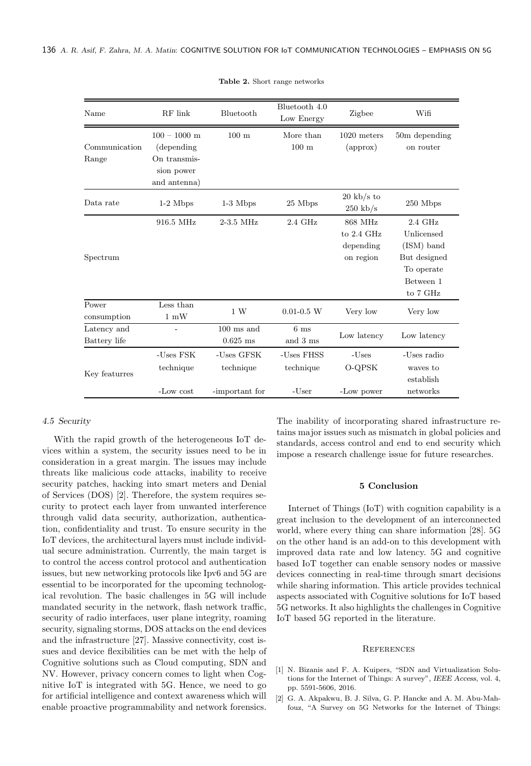| Name                        | RF link                                       | Bluetooth                                 | Bluetooth 4.0<br>Low Energy      | Zigbee                                          | Wifi                                                                                         |
|-----------------------------|-----------------------------------------------|-------------------------------------------|----------------------------------|-------------------------------------------------|----------------------------------------------------------------------------------------------|
| Communication<br>Range      | $100 - 1000$ m<br>(depending)<br>On transmis- | $100 \text{ m}$                           | More than<br>$100 \text{ m}$     | $1020$ meters<br>(approx)                       | 50m depending<br>on router                                                                   |
|                             | sion power<br>and antenna)                    |                                           |                                  |                                                 |                                                                                              |
| Data rate                   | $1-2$ Mbps                                    | $1-3$ Mbps                                | 25 Mbps                          | $20 \text{ kb/s}$ to<br>$250 \text{ kb/s}$      | 250 Mbps                                                                                     |
| Spectrum                    | 916.5 MHz                                     | 2-3.5 MHz                                 | $2.4\text{ GHz}$                 | 868 MHz<br>to 2.4 GHz<br>depending<br>on region | 2.4 GHz<br>Unlicensed<br>$(ISM)$ band<br>But designed<br>To operate<br>Between 1<br>to 7 GHz |
| Power<br>consumption        | Less than<br>$1\text{ }\mathrm{mW}$           | 1 W                                       | $0.01 - 0.5$ W                   | Very low                                        | Very low                                                                                     |
| Latency and<br>Battery life |                                               | $100$ ms and<br>$0.625$ ms                | 6 <sub>ms</sub><br>and 3 ms      | Low latency                                     | Low latency                                                                                  |
| Key featurres               | -Uses FSK<br>technique<br>-Low cost           | -Uses GFSK<br>technique<br>-important for | -Uses FHSS<br>technique<br>-User | -Uses<br>O-QPSK<br>-Low power                   | -Uses radio<br>waves to<br>establish<br>networks                                             |

Table 2. Short range networks

## 4.5 Security

With the rapid growth of the heterogeneous IoT devices within a system, the security issues need to be in consideration in a great margin. The issues may include threats like malicious code attacks, inability to receive security patches, hacking into smart meters and Denial of Services (DOS) [2]. Therefore, the system requires security to protect each layer from unwanted interference through valid data security, authorization, authentication, confidentiality and trust. To ensure security in the IoT devices, the architectural layers must include individual secure administration. Currently, the main target is to control the access control protocol and authentication issues, but new networking protocols like Ipv6 and 5G are essential to be incorporated for the upcoming technological revolution. The basic challenges in 5G will include mandated security in the network, flash network traffic, security of radio interfaces, user plane integrity, roaming security, signaling storms, DOS attacks on the end devices and the infrastructure [27]. Massive connectivity, cost issues and device flexibilities can be met with the help of Cognitive solutions such as Cloud computing, SDN and NV. However, privacy concern comes to light when Cognitive IoT is integrated with 5G. Hence, we need to go for artificial intelligence and context awareness which will enable proactive programmability and network forensics.

The inability of incorporating shared infrastructure retains major issues such as mismatch in global policies and standards, access control and end to end security which impose a research challenge issue for future researches.

# 5 Conclusion

Internet of Things (IoT) with cognition capability is a great inclusion to the development of an interconnected world, where every thing can share information [28]. 5G on the other hand is an add-on to this development with improved data rate and low latency. 5G and cognitive based IoT together can enable sensory nodes or massive devices connecting in real-time through smart decisions while sharing information. This article provides technical aspects associated with Cognitive solutions for IoT based 5G networks. It also highlights the challenges in Cognitive IoT based 5G reported in the literature.

#### **REFERENCES**

- [1] N. Bizanis and F. A. Kuipers, "SDN and Virtualization Solutions for the Internet of Things: A survey", *IEEE Access*, vol. 4, pp. 5591-5606, 2016.
- [2] G. A. Akpakwu, B. J. Silva, G. P. Hancke and A. M. Abu-Mahfouz, "A Survey on 5G Networks for the Internet of Things: